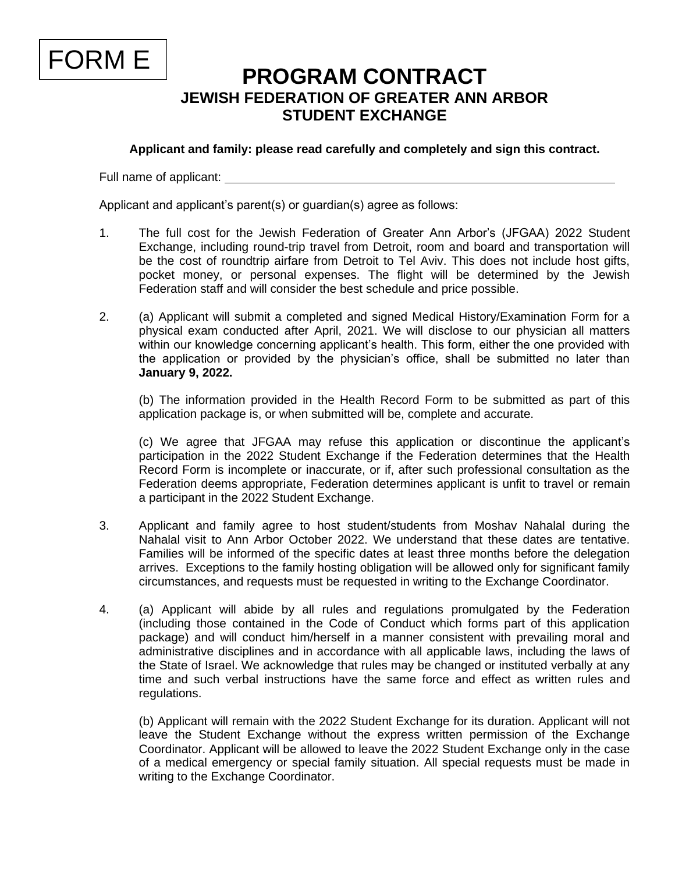

## **PROGRAM CONTRACT JEWISH FEDERATION OF GREATER ANN ARBOR STUDENT EXCHANGE**

**Applicant and family: please read carefully and completely and sign this contract.**

Full name of applicant:

Applicant and applicant's parent(s) or guardian(s) agree as follows:

- 1. The full cost for the Jewish Federation of Greater Ann Arbor's (JFGAA) 2022 Student Exchange, including round-trip travel from Detroit, room and board and transportation will be the cost of roundtrip airfare from Detroit to Tel Aviv. This does not include host gifts, pocket money, or personal expenses. The flight will be determined by the Jewish Federation staff and will consider the best schedule and price possible.
- 2. (a) Applicant will submit a completed and signed Medical History/Examination Form for a physical exam conducted after April, 2021. We will disclose to our physician all matters within our knowledge concerning applicant's health. This form, either the one provided with the application or provided by the physician's office, shall be submitted no later than **January 9, 2022.**

(b) The information provided in the Health Record Form to be submitted as part of this application package is, or when submitted will be, complete and accurate.

(c) We agree that JFGAA may refuse this application or discontinue the applicant's participation in the 2022 Student Exchange if the Federation determines that the Health Record Form is incomplete or inaccurate, or if, after such professional consultation as the Federation deems appropriate, Federation determines applicant is unfit to travel or remain a participant in the 2022 Student Exchange.

- 3. Applicant and family agree to host student/students from Moshav Nahalal during the Nahalal visit to Ann Arbor October 2022. We understand that these dates are tentative. Families will be informed of the specific dates at least three months before the delegation arrives. Exceptions to the family hosting obligation will be allowed only for significant family circumstances, and requests must be requested in writing to the Exchange Coordinator.
- 4. (a) Applicant will abide by all rules and regulations promulgated by the Federation (including those contained in the Code of Conduct which forms part of this application package) and will conduct him/herself in a manner consistent with prevailing moral and administrative disciplines and in accordance with all applicable laws, including the laws of the State of Israel. We acknowledge that rules may be changed or instituted verbally at any time and such verbal instructions have the same force and effect as written rules and regulations.

(b) Applicant will remain with the 2022 Student Exchange for its duration. Applicant will not leave the Student Exchange without the express written permission of the Exchange Coordinator. Applicant will be allowed to leave the 2022 Student Exchange only in the case of a medical emergency or special family situation. All special requests must be made in writing to the Exchange Coordinator.